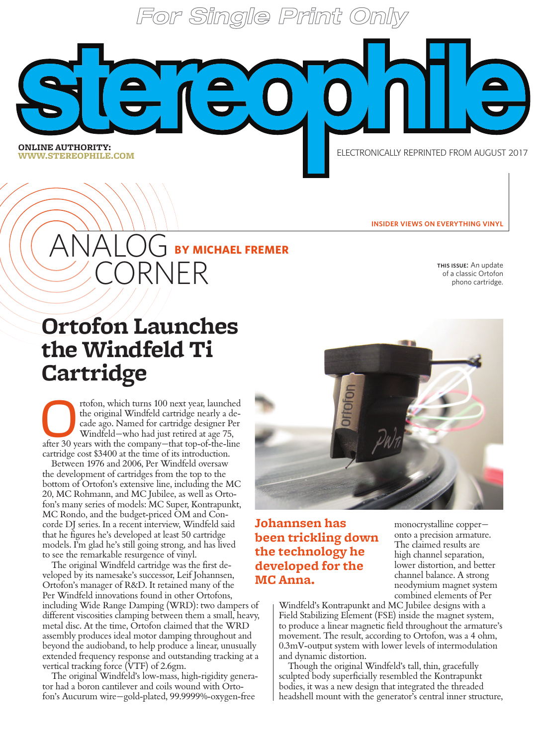

**WWW.STEREOPHILE.COM**

**INSIDER VIEWS ON EVERYTHING VINYL**

## ANALOG RNFR **BY MICHAEL FREMER**

**THIS ISSUE**: An update of a classic Ortofon phono cartridge.

# **Ortofon Launches the Windfeld Ti Cartridge**

The strain which turns 100 next year, launched<br>
the original Windfeld cartridge nearly a de-<br>
cade ago. Named for cartridge designer Per<br>
Windfeld—who had just retired at age 75,<br>
after 30 years with the company—that top-o the original Windfeld cartridge nearly a decade ago. Named for cartridge designer Per Windfeld—who had just retired at age 75, cartridge cost \$3400 at the time of its introduction.

Between 1976 and 2006, Per Windfeld oversaw the development of cartridges from the top to the bottom of Ortofon's extensive line, including the MC 20, MC Rohmann, and MC Jubilee, as well as Ortofon's many series of models: MC Super, Kontrapunkt, MC Rondo, and the budget-priced OM and Concorde DJ series. In a recent interview, Windfeld said that he figures he's developed at least 50 cartridge models. I'm glad he's still going strong, and has lived to see the remarkable resurgence of vinyl.

The original Windfeld cartridge was the first developed by its namesake's successor, Leif Johannsen, Ortofon's manager of R&D. It retained many of the Per Windfeld innovations found in other Ortofons, including Wide Range Damping (WRD): two dampers of different viscosities clamping between them a small, heavy, metal disc. At the time, Ortofon claimed that the WRD assembly produces ideal motor damping throughout and beyond the audioband, to help produce a linear, unusually extended frequency response and outstanding tracking at a vertical tracking force (VTF) of 2.6gm.

The original Windfeld's low-mass, high-rigidity generator had a boron cantilever and coils wound with Ortofon's Aucurum wire—gold-plated, 99.9999%-oxygen-free



**Johannsen has been trickling down the technology he developed for the MC Anna.**

monocrystalline copper onto a precision armature. The claimed results are high channel separation, lower distortion, and better channel balance. A strong neodymium magnet system combined elements of Per

Windfeld's Kontrapunkt and MC Jubilee designs with a Field Stabilizing Element (FSE) inside the magnet system, to produce a linear magnetic field throughout the armature's movement. The result, according to Ortofon, was a 4 ohm, 0.3mV-output system with lower levels of intermodulation and dynamic distortion.

Though the original Windfeld's tall, thin, gracefully sculpted body superficially resembled the Kontrapunkt bodies, it was a new design that integrated the threaded headshell mount with the generator's central inner structure,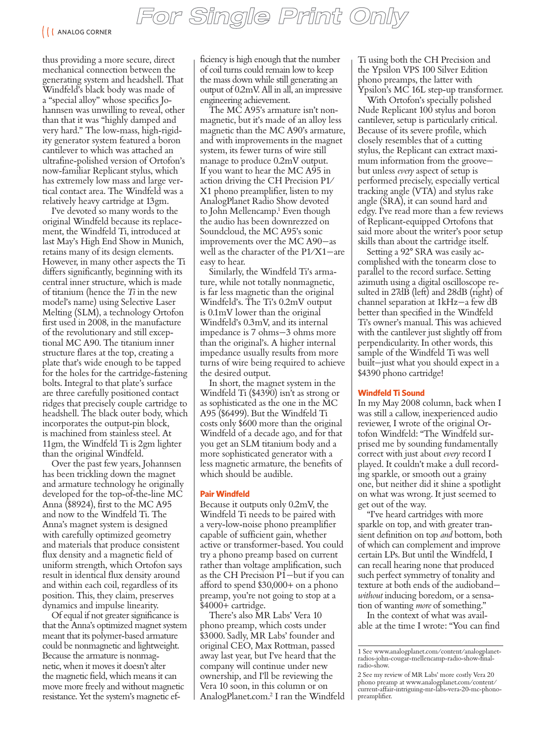thus providing a more secure, direct mechanical connection between the generating system and headshell. That Windfeld's black body was made of a "special alloy" whose specifics Johannsen was unwilling to reveal, other than that it was "highly damped and very hard." The low-mass, high-rigidity generator system featured a boron cantilever to which was attached an ultrafine-polished version of Ortofon's now-familiar Replicant stylus, which has extremely low mass and large vertical contact area. The Windfeld was a relatively heavy cartridge at 13gm.

I've devoted so many words to the original Windfeld because its replacement, the Windfeld Ti, introduced at last May's High End Show in Munich, retains many of its design elements. However, in many other aspects the Ti differs significantly, beginning with its central inner structure, which is made of titanium (hence the *Ti* in the new model's name) using Selective Laser Melting (SLM), a technology Ortofon first used in 2008, in the manufacture of the revolutionary and still exceptional MC A90. The titanium inner structure flares at the top, creating a plate that's wide enough to be tapped for the holes for the cartridge-fastening bolts. Integral to that plate's surface are three carefully positioned contact ridges that precisely couple cartridge to headshell. The black outer body, which incorporates the output-pin block, is machined from stainless steel. At 11gm, the Windfeld Ti is 2gm lighter than the original Windfeld.

Over the past few years, Johannsen has been trickling down the magnet and armature technology he originally developed for the top-of-the-line MC Anna (\$8924), first to the MC A95 and now to the Windfeld Ti. The Anna's magnet system is designed with carefully optimized geometry and materials that produce consistent flux density and a magnetic field of uniform strength, which Ortofon says result in identical flux density around and within each coil, regardless of its position. This, they claim, preserves dynamics and impulse linearity.

Of equal if not greater significance is that the Anna's optimized magnet system meant that its polymer-based armature could be nonmagnetic and lightweight. Because the armature is nonmagnetic, when it moves it doesn't alter the magnetic field, which means it can move more freely and without magnetic resistance. Yet the system's magnetic efficiency is high enough that the number of coil turns could remain low to keep the mass down while still generating an output of 0.2mV. All in all, an impressive engineering achievement.

The MC A95's armature isn't nonmagnetic, but it's made of an alloy less magnetic than the MC A90's armature, and with improvements in the magnet system, its fewer turns of wire still manage to produce 0.2mV output. If you want to hear the MC A95 in action driving the CH Precision P1/ X1 phono preamplifier, listen to my AnalogPlanet Radio Show devoted to John Mellencamp.1 Even though the audio has been downrezzed on Soundcloud, the MC A95's sonic improvements over the MC A90—as well as the character of the P1/X1—are easy to hear.

Similarly, the Windfeld Ti's armature, while not totally nonmagnetic, is far less magnetic than the original Windfeld's. The Ti's 0.2mV output is 0.1mV lower than the original Windfeld's 0.3mV, and its internal impedance is 7 ohms—3 ohms more than the original's. A higher internal impedance usually results from more turns of wire being required to achieve the desired output.

In short, the magnet system in the Windfeld Ti (\$4390) isn't as strong or as sophisticated as the one in the MC A95 (\$6499). But the Windfeld Ti costs only \$600 more than the original Windfeld of a decade ago, and for that you get an SLM titanium body and a more sophisticated generator with a less magnetic armature, the benefits of which should be audible.

#### **Pair Windfeld**

Because it outputs only 0.2mV, the Windfeld Ti needs to be paired with a very-low-noise phono preamplifier capable of sufficient gain, whether active or transformer-based. You could try a phono preamp based on current rather than voltage amplification, such as the CH Precision  $P1$ —but if you can afford to spend \$30,000+ on a phono preamp, you're not going to stop at a \$4000+ cartridge.

There's also MR Labs' Vera 10 phono preamp, which costs under \$3000. Sadly, MR Labs' founder and original CEO, Max Rottman, passed away last year, but I've heard that the company will continue under new ownership, and I'll be reviewing the Vera 10 soon, in this column or on AnalogPlanet.com.2 I ran the Windfeld Ti using both the CH Precision and the Ypsilon VPS 100 Silver Edition phono preamps, the latter with Ypsilon's MC 16L step-up transformer.

With Ortofon's specially polished Nude Replicant 100 stylus and boron cantilever, setup is particularly critical. Because of its severe profile, which closely resembles that of a cutting stylus, the Replicant can extract maximum information from the groove but unless *every* aspect of setup is performed precisely, especially vertical tracking angle (VTA) and stylus rake angle (SRA), it can sound hard and edgy. I've read more than a few reviews of Replicant-equipped Ortofons that said more about the writer's poor setup skills than about the cartridge itself.

Setting a 92° SRA was easily accomplished with the tonearm close to parallel to the record surface. Setting azimuth using a digital oscilloscope resulted in 27dB (left) and 28dB (right) of channel separation at 1kHz—a few dB better than specified in the Windfeld Ti's owner's manual. This was achieved with the cantilever just slightly off from perpendicularity. In other words, this sample of the Windfeld Ti was well built—just what you should expect in a \$4390 phono cartridge!

#### **Windfeld Ti Sound**

In my May 2008 column, back when I was still a callow, inexperienced audio reviewer, I wrote of the original Ortofon Windfeld: "The Windfeld surprised me by sounding fundamentally correct with just about *every* record I played. It couldn't make a dull recording sparkle, or smooth out a grainy one, but neither did it shine a spotlight on what was wrong. It just seemed to get out of the way.

"I've heard cartridges with more sparkle on top, and with greater transient definition on top *and* bottom, both of which can complement and improve certain LPs. But until the Windfeld, I can recall hearing none that produced such perfect symmetry of tonality and texture at both ends of the audioband *without* inducing boredom, or a sensation of wanting *more* of something."

In the context of what was available at the time I wrote: "You can find

<sup>1</sup> See www.analogplanet.com/content/analogplanetradios-john-cougar-mellencamp-radio-show-finalradio-show.

<sup>2</sup> See my review of MR Labs' more costly Vera 20 phono preamp at www.analogplanet.com/content/ current-affair-intriguing-mr-labs-vera-20-mc-phonopreamplifier.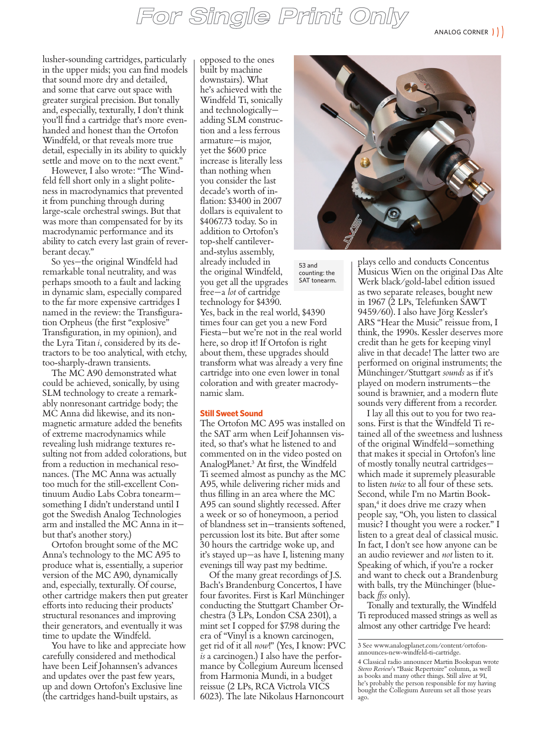lusher-sounding cartridges, particularly in the upper mids; you can find models that sound more dry and detailed, and some that carve out space with greater surgical precision. But tonally and, especially, texturally, I don't think you'll find a cartridge that's more evenhanded and honest than the Ortofon Windfeld, or that reveals more true detail, especially in its ability to quickly settle and move on to the next event.'

However, I also wrote: "The Windfeld fell short only in a slight politeness in macrodynamics that prevented it from punching through during large-scale orchestral swings. But that was more than compensated for by its macrodynamic performance and its ability to catch every last grain of reverberant decay."

So yes—the original Windfeld had remarkable tonal neutrality, and was perhaps smooth to a fault and lacking in dynamic slam, especially compared to the far more expensive cartridges I named in the review: the Transfiguration Orpheus (the first "explosive" Transfiguration, in my opinion), and the Lyra Titan *i*, considered by its detractors to be too analytical, with etchy, too-sharply-drawn transients.

The MC A90 demonstrated what could be achieved, sonically, by using SLM technology to create a remarkably nonresonant cartridge body; the MC Anna did likewise, and its nonmagnetic armature added the benefits of extreme macrodynamics while revealing lush midrange textures resulting not from added colorations, but from a reduction in mechanical resonances. (The MC Anna was actually too much for the still-excellent Continuum Audio Labs Cobra tonearm something I didn't understand until I got the Swedish Analog Technologies arm and installed the MC Anna in it but that's another story.)

Ortofon brought some of the MC Anna's technology to the MC A95 to produce what is, essentially, a superior version of the MC A90, dynamically and, especially, texturally. Of course, other cartridge makers then put greater efforts into reducing their products' structural resonances and improving their generators, and eventually it was time to update the Windfeld.

You have to like and appreciate how carefully considered and methodical have been Leif Johannsen's advances and updates over the past few years, up and down Ortofon's Exclusive line (the cartridges hand-built upstairs, as

opposed to the ones built by machine downstairs). What he's achieved with the Windfeld Ti, sonically and technologically adding SLM construction and a less ferrous armature—is major, yet the \$600 price increase is literally less than nothing when you consider the last decade's worth of inflation: \$3400 in 2007 dollars is equivalent to \$4067.73 today. So in addition to Ortofon's top-shelf cantileverand-stylus assembly, already included in the original Windfeld, you get all the upgrades free—a *lot* of cartridge



53 and counting: the SAT tonearm.

technology for \$4390. Yes, back in the real world, \$4390 times four can get you a new Ford Fiesta—but we're not in the real world here, so drop it! If Ortofon is right about them, these upgrades should transform what was already a very fine cartridge into one even lower in tonal coloration and with greater macrodynamic slam.

## **Still Sweet Sound**

The Ortofon MC A95 was installed on the SAT arm when Leif Johannsen visited, so that's what he listened to and commented on in the video posted on AnalogPlanet.3 At first, the Windfeld Ti seemed almost as punchy as the MC A95, while delivering richer mids and thus filling in an area where the MC A95 can sound slightly recessed. After a week or so of honeymoon, a period of blandness set in—transients softened, percussion lost its bite. But after some 30 hours the cartridge woke up, and it's stayed up—as have I, listening many evenings till way past my bedtime.

Of the many great recordings of J.S. Bach's Brandenburg Concertos, I have four favorites. First is Karl Münchinger conducting the Stuttgart Chamber Orchestra (3 LPs, London CSA 2301), a mint set I copped for \$7.98 during the era of "Vinyl is a known carcinogen, get rid of it all *now*!" (Yes, I know: PVC *is* a carcinogen.) I also have the performance by Collegium Aureum licensed from Harmonia Mundi, in a budget reissue (2 LPs, RCA Victrola VICS 6023). The late Nikolaus Harnoncourt

plays cello and conducts Concentus Musicus Wien on the original Das Alte Werk black/gold-label edition issued as two separate releases, bought new in 1967 (2 LPs, Telefunken SAWT 9459/60). I also have Jörg Kessler's ARS "Hear the Music" reissue from, I think, the 1990s. Kessler deserves more credit than he gets for keeping vinyl alive in that decade! The latter two are performed on original instruments; the Münchinger/Stuttgart *sounds* as if it's played on modern instruments—the sound is brawnier, and a modern flute sounds very different from a recorder.

I lay all this out to you for two reasons. First is that the Windfeld Ti retained all of the sweetness and lushness of the original Windfeld—something that makes it special in Ortofon's line of mostly tonally neutral cartridges which made it supremely pleasurable to listen *twice* to all four of these sets. Second, while I'm no Martin Bookspan,4 it does drive me crazy when people say, "Oh, you listen to classical music? I thought you were a rocker." I listen to a great deal of classical music. In fact, I don't see how anyone can be an audio reviewer and *not* listen to it. Speaking of which, if you're a rocker and want to check out a Brandenburg with balls, try the Münchinger (blueback *ffss* only).

Tonally and texturally, the Windfeld Ti reproduced massed strings as well as almost any other cartridge I've heard:

<sup>3</sup> See www.analogplanet.com/content/ortofonannounces-new-windfeld-ti-cartridge.

<sup>4</sup> Classical radio announcer Martin Bookspan wrote *Stereo Review*'s "Basic Repertoire" column, as well as books and many other things. Still alive at 91, he's probably the person responsible for my having bought the Collegium Aureum set all those years ago.